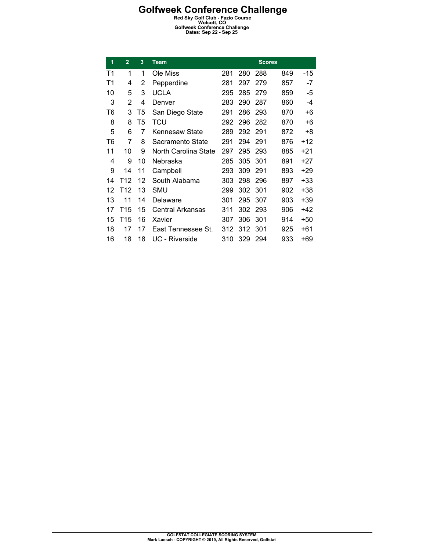| 1  | $\overline{2}$ | 3  | <b>Team</b>          |     |     | <b>Scores</b> |     |       |
|----|----------------|----|----------------------|-----|-----|---------------|-----|-------|
| T1 | 1              | 1  | Ole Miss             | 281 | 280 | 288           | 849 | -15   |
| T1 | 4              | 2  | Pepperdine           | 281 | 297 | 279           | 857 | -7    |
| 10 | 5              | 3  | <b>UCLA</b>          | 295 | 285 | 279           | 859 | -5    |
| 3  | 2              | 4  | Denver               | 283 | 290 | 287           | 860 | $-4$  |
| T6 | 3              | T5 | San Diego State      | 291 | 286 | 293           | 870 | +6    |
| 8  | 8              | T5 | TCU                  | 292 | 296 | 282           | 870 | +6    |
| 5  | 6              | 7  | Kennesaw State       | 289 | 292 | 291           | 872 | +8    |
| T6 | 7              | 8  | Sacramento State     | 291 | 294 | 291           | 876 | $+12$ |
| 11 | 10             | 9  | North Carolina State | 297 | 295 | 293           | 885 | $+21$ |
| 4  | 9              | 10 | Nebraska             | 285 | 305 | 301           | 891 | $+27$ |
| 9  | 14             | 11 | Campbell             | 293 | 309 | 291           | 893 | $+29$ |
| 14 | T12            | 12 | South Alabama        | 303 | 298 | 296           | 897 | $+33$ |
| 12 | T12            | 13 | SMU                  | 299 | 302 | 301           | 902 | $+38$ |
| 13 | 11             | 14 | Delaware             | 301 | 295 | 307           | 903 | $+39$ |
| 17 | T15            | 15 | Central Arkansas     | 311 | 302 | 293           | 906 | +42   |
| 15 | T15            | 16 | Xavier               | 307 | 306 | 301           | 914 | $+50$ |
| 18 | 17             | 17 | East Tennessee St.   | 312 | 312 | 301           | 925 | $+61$ |
| 16 | 18             | 18 | UC - Riverside       | 310 | 329 | 294           | 933 | +69   |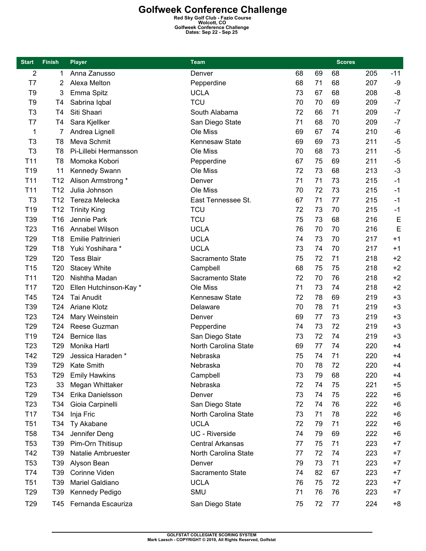| <b>Start</b>    | <b>Finish</b>   | <b>Player</b><br>Team  |                         |    |    |    | <b>Scores</b> |       |
|-----------------|-----------------|------------------------|-------------------------|----|----|----|---------------|-------|
| 2               | 1               | Anna Zanusso           | Denver                  | 68 | 69 | 68 | 205           | $-11$ |
| T7              | 2               | Alexa Melton           | Pepperdine              | 68 | 71 | 68 | 207           | -9    |
| T <sub>9</sub>  | 3               | Emma Spitz             | <b>UCLA</b>             | 73 | 67 | 68 | 208           | -8    |
| T <sub>9</sub>  | T <sub>4</sub>  | Sabrina Iqbal          | <b>TCU</b>              | 70 | 70 | 69 | 209           | $-7$  |
| T <sub>3</sub>  | T4              | Siti Shaari            | South Alabama           | 72 | 66 | 71 | 209           | $-7$  |
| T7              | T4              | Sara Kjellker          | San Diego State         | 71 | 68 | 70 | 209           | $-7$  |
| 1               | 7               | Andrea Lignell         | Ole Miss                | 69 | 67 | 74 | 210           | $-6$  |
| T <sub>3</sub>  | T <sub>8</sub>  | Meva Schmit            | <b>Kennesaw State</b>   | 69 | 69 | 73 | 211           | $-5$  |
| T <sub>3</sub>  | T8              | Pi-Lillebi Hermansson  | Ole Miss                | 70 | 68 | 73 | 211           | $-5$  |
| T <sub>11</sub> | T <sub>8</sub>  | Momoka Kobori          | Pepperdine              | 67 | 75 | 69 | 211           | $-5$  |
| T <sub>19</sub> | 11              | Kennedy Swann          | Ole Miss                | 72 | 73 | 68 | 213           | $-3$  |
| T <sub>11</sub> | T <sub>12</sub> | Alison Armstrong *     | Denver                  | 71 | 71 | 73 | 215           | $-1$  |
| T <sub>11</sub> | T <sub>12</sub> | Julia Johnson          | Ole Miss                | 70 | 72 | 73 | 215           | $-1$  |
| T <sub>3</sub>  | T <sub>12</sub> | Tereza Melecka         | East Tennessee St.      | 67 | 71 | 77 | 215           | $-1$  |
| T <sub>19</sub> | T <sub>12</sub> | <b>Trinity King</b>    | <b>TCU</b>              | 72 | 73 | 70 | 215           | $-1$  |
| T39             | T16             | Jennie Park            | <b>TCU</b>              | 75 | 73 | 68 | 216           | E     |
| T <sub>23</sub> | T16             | Annabel Wilson         | <b>UCLA</b>             | 76 | 70 | 70 | 216           | E     |
| T <sub>29</sub> | T18             | Emilie Paltrinieri     | <b>UCLA</b>             | 74 | 73 | 70 | 217           | $+1$  |
| T <sub>29</sub> | T <sub>18</sub> | Yuki Yoshihara *       | <b>UCLA</b>             | 73 | 74 | 70 | 217           | $+1$  |
| T29             | T20             | <b>Tess Blair</b>      | Sacramento State        | 75 | 72 | 71 | 218           | $+2$  |
| T <sub>15</sub> | T <sub>20</sub> | <b>Stacey White</b>    | Campbell                | 68 | 75 | 75 | 218           | $+2$  |
| T <sub>11</sub> | T20             | Nishtha Madan          | Sacramento State        | 72 | 70 | 76 | 218           | $+2$  |
| T <sub>17</sub> | T <sub>20</sub> | Ellen Hutchinson-Kay * | Ole Miss                | 71 | 73 | 74 | 218           | $+2$  |
| T45             | T24             | <b>Tai Anudit</b>      | Kennesaw State          | 72 | 78 | 69 | 219           | $+3$  |
|                 | T24             | <b>Ariane Klotz</b>    |                         | 70 | 78 | 71 |               | $+3$  |
| T39             |                 |                        | Delaware                | 69 | 77 | 73 | 219           | $+3$  |
| T <sub>23</sub> | T24             | Mary Weinstein         | Denver                  |    |    |    | 219           | $+3$  |
| T <sub>29</sub> | T <sub>24</sub> | Reese Guzman           | Pepperdine              | 74 | 73 | 72 | 219           |       |
| T19             | T <sub>24</sub> | <b>Bernice llas</b>    | San Diego State         | 73 | 72 | 74 | 219           | $+3$  |
| T <sub>23</sub> | T <sub>29</sub> | Monika Hartl           | North Carolina State    | 69 | 77 | 74 | 220           | $+4$  |
| T42             | T <sub>29</sub> | Jessica Haraden *      | Nebraska                | 75 | 74 | 71 | 220           | $+4$  |
| T39             | T29             | Kate Smith             | Nebraska                | 70 | 78 | 72 | 220           | $+4$  |
| T <sub>53</sub> | T29             | <b>Emily Hawkins</b>   | Campbell                | 73 | 79 | 68 | 220           | +4    |
| T <sub>23</sub> | 33              | Megan Whittaker        | Nebraska                | 72 | 74 | 75 | 221           | $+5$  |
| T <sub>29</sub> | T34             | Erika Danielsson       | Denver                  | 73 | 74 | 75 | 222           | $+6$  |
| T <sub>23</sub> | T34             | Gioia Carpinelli       | San Diego State         | 72 | 74 | 76 | 222           | $+6$  |
| T <sub>17</sub> | T34             | Inja Fric              | North Carolina State    | 73 | 71 | 78 | 222           | $+6$  |
| <b>T51</b>      | T34             | Ty Akabane             | <b>UCLA</b>             | 72 | 79 | 71 | 222           | $+6$  |
| <b>T58</b>      | T34             | Jennifer Deng          | UC - Riverside          | 74 | 79 | 69 | 222           | $+6$  |
| T <sub>53</sub> | T39             | Pim-Orn Thitisup       | <b>Central Arkansas</b> | 77 | 75 | 71 | 223           | $+7$  |
| T42             | T39             | Natalie Ambruester     | North Carolina State    | 77 | 72 | 74 | 223           | $+7$  |
| T <sub>53</sub> | T39             | Alyson Bean            | Denver                  | 79 | 73 | 71 | 223           | $+7$  |
| T74             | T39             | Corinne Viden          | Sacramento State        | 74 | 82 | 67 | 223           | $+7$  |
| <b>T51</b>      | T39             | Mariel Galdiano        | <b>UCLA</b>             | 76 | 75 | 72 | 223           | $+7$  |
| T <sub>29</sub> | T <sub>39</sub> | Kennedy Pedigo         | SMU                     | 71 | 76 | 76 | 223           | $+7$  |
| T <sub>29</sub> |                 | T45 Fernanda Escauriza | San Diego State         | 75 | 72 | 77 | 224           | $+8$  |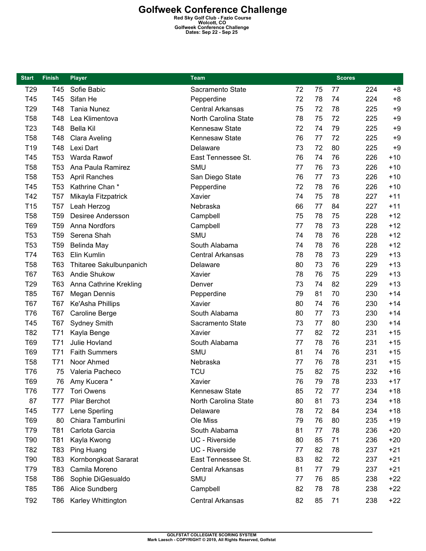| <b>Start</b>    | <b>Finish</b>   | <b>Player</b>            | <b>Team</b>             |    |    | <b>Scores</b> |     |       |
|-----------------|-----------------|--------------------------|-------------------------|----|----|---------------|-----|-------|
| T <sub>29</sub> | T45             | Sofie Babic              | Sacramento State        | 72 | 75 | 77            | 224 | $+8$  |
| T45             | T45             | Sifan He                 | Pepperdine              | 72 | 78 | 74            | 224 | $+8$  |
| T <sub>29</sub> | T48             | <b>Tania Nunez</b>       | <b>Central Arkansas</b> | 75 | 72 | 78            | 225 | $+9$  |
| <b>T58</b>      | T48             | Lea Klimentova           | North Carolina State    | 78 | 75 | 72            | 225 | $+9$  |
| T <sub>23</sub> | T48             | <b>Bella Kil</b>         | Kennesaw State          | 72 | 74 | 79            | 225 | $+9$  |
| <b>T58</b>      | T48             | <b>Clara Aveling</b>     | Kennesaw State          | 76 | 77 | 72            | 225 | $+9$  |
| T19             | T48             | Lexi Dart                | Delaware                | 73 | 72 | 80            | 225 | $+9$  |
| T45             | T <sub>53</sub> | Warda Rawof              | East Tennessee St.      | 76 | 74 | 76            | 226 | $+10$ |
| <b>T58</b>      | T <sub>53</sub> | Ana Paula Ramirez        | <b>SMU</b>              | 77 | 76 | 73            | 226 | $+10$ |
| <b>T58</b>      | T <sub>53</sub> | <b>April Ranches</b>     | San Diego State         | 76 | 77 | 73            | 226 | $+10$ |
| T45             | T <sub>53</sub> | Kathrine Chan*           | Pepperdine              | 72 | 78 | 76            | 226 | $+10$ |
| T42             | <b>T57</b>      | Mikayla Fitzpatrick      | Xavier                  | 74 | 75 | 78            | 227 | $+11$ |
| T15             | T <sub>57</sub> | Leah Herzog              | Nebraska                | 66 | 77 | 84            | 227 | $+11$ |
| <b>T58</b>      | T <sub>59</sub> | <b>Desiree Andersson</b> | Campbell                | 75 | 78 | 75            | 228 | $+12$ |
| T69             | T <sub>59</sub> | Anna Nordfors            | Campbell                | 77 | 78 | 73            | 228 | $+12$ |
| <b>T53</b>      | T <sub>59</sub> | Serena Shah              | <b>SMU</b>              | 74 | 78 | 76            | 228 | $+12$ |
| T <sub>53</sub> | T <sub>59</sub> | Belinda May              | South Alabama           | 74 | 78 | 76            | 228 | $+12$ |
| T74             | T63             | Elin Kumlin              | <b>Central Arkansas</b> | 78 | 78 | 73            | 229 | $+13$ |
| <b>T58</b>      | T63             | Thitaree Sakulbunpanich  | Delaware                | 80 | 73 | 76            | 229 | $+13$ |
| <b>T67</b>      | T63             | Andie Shukow             | Xavier                  | 78 | 76 | 75            | 229 | $+13$ |
| T <sub>29</sub> | T63             | Anna Cathrine Krekling   | Denver                  | 73 | 74 | 82            | 229 | $+13$ |
| T85             | T67             | <b>Megan Dennis</b>      | Pepperdine              | 79 | 81 | 70            | 230 | $+14$ |
| <b>T67</b>      | <b>T67</b>      | Ke'Asha Phillips         | Xavier                  | 80 | 74 | 76            | 230 | $+14$ |
| T76             | T67             | <b>Caroline Berge</b>    | South Alabama           | 80 | 77 | 73            | 230 | $+14$ |
| T45             | T67             | <b>Sydney Smith</b>      | Sacramento State        | 73 | 77 | 80            | 230 | $+14$ |
| T82             | T71             | Kayla Benge              | Xavier                  | 77 | 82 | 72            | 231 | $+15$ |
| T69             | T71             | Julie Hovland            | South Alabama           | 77 | 78 | 76            | 231 | $+15$ |
| T69             | T71             | <b>Faith Summers</b>     | <b>SMU</b>              | 81 | 74 | 76            | 231 | $+15$ |
| <b>T58</b>      | T71             | Noor Ahmed               | Nebraska                | 77 | 76 | 78            | 231 | $+15$ |
| T76             | 75              | Valeria Pacheco          | <b>TCU</b>              | 75 | 82 | 75            | 232 | $+16$ |
| T69             | 76              | Amy Kucera *             | Xavier                  | 76 | 79 | 78            | 233 | $+17$ |
| T76             | T77             | Tori Owens               | Kennesaw State          | 85 | 72 | 77            | 234 | $+18$ |
| 87              | T77             | <b>Pilar Berchot</b>     | North Carolina State    | 80 | 81 | 73            | 234 | $+18$ |
| T45             | T77             | Lene Sperling            | Delaware                | 78 | 72 | 84            | 234 | $+18$ |
| T69             | 80              | Chiara Tamburlini        | Ole Miss                | 79 | 76 | 80            | 235 | $+19$ |
| T79             | T81             | Carlota Garcia           | South Alabama           | 81 | 77 | 78            | 236 | $+20$ |
| T90             | T81             | Kayla Kwong              | UC - Riverside          | 80 | 85 | 71            | 236 | $+20$ |
| T82             | T83             | <b>Ping Huang</b>        | UC - Riverside          | 77 | 82 | 78            | 237 | $+21$ |
| T90             | T83             | Kornbongkoat Sararat     | East Tennessee St.      | 83 | 82 | 72            | 237 | $+21$ |
| T79             | T83             | Camila Moreno            | <b>Central Arkansas</b> | 81 | 77 | 79            | 237 | $+21$ |
| <b>T58</b>      | T86             | Sophie DiGesualdo        | SMU                     | 77 | 76 | 85            | 238 | $+22$ |
| T85             | T86             | Alice Sundberg           | Campbell                | 82 | 78 | 78            | 238 | $+22$ |
| T92             | T86             | Karley Whittington       | Central Arkansas        | 82 | 85 | 71            | 238 | $+22$ |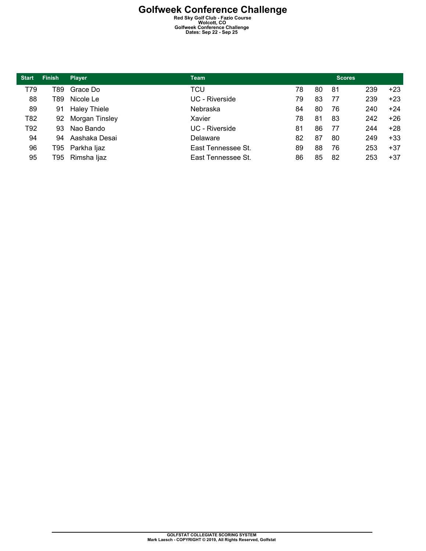| <b>Start</b> | <b>Finish</b> | <b>Player</b>       | <b>Team</b>        |    |    | <b>Scores</b> |     |       |
|--------------|---------------|---------------------|--------------------|----|----|---------------|-----|-------|
| T79          | T89           | Grace Do            | TCU                | 78 | 80 | 81            | 239 | $+23$ |
| 88           | T89           | Nicole Le           | UC - Riverside     | 79 | 83 | 77            | 239 | $+23$ |
| 89           | 91            | <b>Haley Thiele</b> | Nebraska           | 84 | 80 | 76            | 240 | $+24$ |
| T82          | 92            | Morgan Tinsley      | Xavier             | 78 | 81 | -83           | 242 | $+26$ |
| T92          | 93            | Nao Bando           | UC - Riverside     | 81 | 86 | 77            | 244 | $+28$ |
| 94           | 94            | Aashaka Desai       | Delaware           | 82 | 87 | 80            | 249 | $+33$ |
| 96           |               | T95 Parkha ljaz     | East Tennessee St. | 89 | 88 | 76            | 253 | $+37$ |
| 95           | T95           | Rimsha ljaz         | East Tennessee St. | 86 | 85 | 82            | 253 | $+37$ |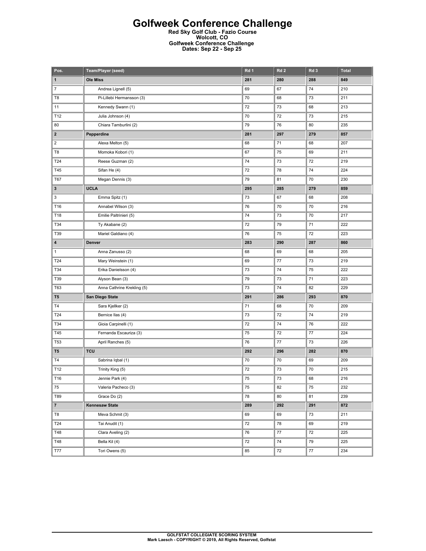### **Golfweek Conference Challenge**

**Red Sky Golf Club - Fazio Course Wolcott, CO Golfweek Conference Challenge Dates: Sep 22 - Sep 25** 

| Pos.                    | Team/Player (seed)         | Rd <sub>1</sub> | Rd <sub>2</sub> | Rd <sub>3</sub> | <b>Total</b> |
|-------------------------|----------------------------|-----------------|-----------------|-----------------|--------------|
| 1                       | <b>Ole Miss</b>            | 281             | 280             | 288             | 849          |
| $\boldsymbol{7}$        | Andrea Lignell (5)         | 69              | 67              | 74              | 210          |
| T8                      | Pi-Lillebi Hermansson (3)  | 70              | 68              | 73              | 211          |
| 11                      | Kennedy Swann (1)          | 72              | 73              | 68              | 213          |
| T12                     | Julia Johnson (4)          | 70              | 72              | 73              | 215          |
| 80                      | Chiara Tamburlini (2)      | 79              | 76              | 80              | 235          |
| 2                       | Pepperdine                 | 281             | 297             | 279             | 857          |
| $\overline{\mathbf{c}}$ | Alexa Melton (5)           | 68              | 71              | 68              | 207          |
| T8                      | Momoka Kobori (1)          | 67              | 75              | 69              | 211          |
| T24                     | Reese Guzman (2)           | 74              | 73              | 72              | 219          |
| T45                     | Sifan He (4)               | 72              | 78              | 74              | 224          |
| T67                     | Megan Dennis (3)           | 79              | 81              | 70              | 230          |
| 3                       | <b>UCLA</b>                | 295             | 285             | 279             | 859          |
| 3                       | Emma Spitz (1)             | 73              | 67              | 68              | 208          |
| T16                     | Annabel Wilson (3)         | 76              | 70              | 70              | 216          |
| T18                     | Emilie Paltrinieri (5)     | 74              | 73              | 70              | 217          |
| T34                     | Ty Akabane (2)             | 72              | 79              | 71              | 222          |
| T39                     | Mariel Galdiano (4)        | 76              | 75              | 72              | 223          |
| 4                       | Denver                     | 283             | 290             | 287             | 860          |
| $\mathbf{1}$            | Anna Zanusso (2)           | 68              | 69              | 68              | 205          |
| T24                     | Mary Weinstein (1)         | 69              | 77              | 73              | 219          |
| T34                     | Erika Danielsson (4)       | 73              | 74              | 75              | 222          |
| T39                     | Alyson Bean (3)            | 79              | 73              | 71              | 223          |
| T63                     | Anna Cathrine Krekling (5) | 73              | 74              | 82              | 229          |
| T <sub>5</sub>          | San Diego State            | 291             | 286             | 293             | 870          |
| T4                      | Sara Kjellker (2)          | 71              | 68              | 70              | 209          |
| T24                     | Bernice Ilas (4)           | 73              | 72              | 74              | 219          |
| T34                     | Gioia Carpinelli (1)       | 72              | 74              | 76              | 222          |
| T45                     | Fernanda Escauriza (3)     | 75              | 72              | 77              | 224          |
| <b>T53</b>              | April Ranches (5)          | 76              | 77              | 73              | 226          |
| T <sub>5</sub>          | <b>TCU</b>                 | 292             | 296             | 282             | 870          |
| T4                      | Sabrina Iqbal (1)          | 70              | 70              | 69              | 209          |
| T12                     | Trinity King (5)           | 72              | 73              | 70              | 215          |
| T16                     | Jennie Park (4)            | 75              | 73              | 68              | 216          |
| 75                      | Valeria Pacheco (3)        | 75              | 82              | 75              | 232          |
| T89                     | Grace Do (2)               | 78              | 80              | 81              | 239          |
| $\overline{7}$          | <b>Kennesaw State</b>      | 289             | 292             | 291             | 872          |
| T8                      | Meva Schmit (3)            | 69              | 69              | 73              | 211          |
| T24                     | Tai Anudit (1)             | 72              | 78              | 69              | 219          |
| T48                     | Clara Aveling (2)          | 76              | 77              | 72              | 225          |
| T48                     | Bella Kil (4)              | 72              | 74              | 79              | 225          |
| <b>T77</b>              | Tori Owens (5)             | 85              | 72              | 77              | 234          |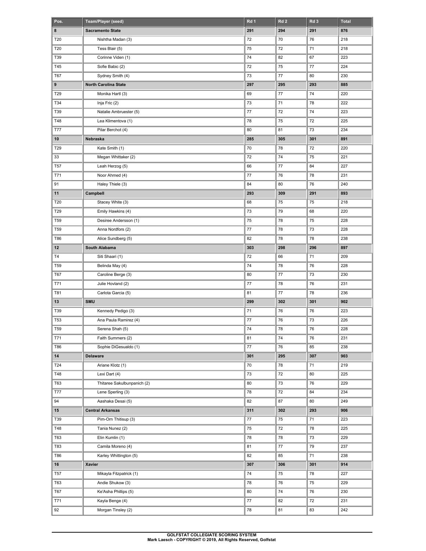| Pos.       | Team/Player (seed)          | Rd 1    | Rd <sub>2</sub> | Rd 3 | <b>Total</b> |
|------------|-----------------------------|---------|-----------------|------|--------------|
| 8          | <b>Sacramento State</b>     | 291     | 294             | 291  | 876          |
| T20        | Nishtha Madan (3)           | 72      | 70              | 76   | 218          |
| T20        | Tess Blair (5)              | 75      | 72              | 71   | 218          |
| T39        | Corinne Viden (1)           | 74      | 82              | 67   | 223          |
| T45        | Sofie Babic (2)             | 72      | 75              | 77   | 224          |
| T67        | Sydney Smith (4)            | 73      | 77              | 80   | 230          |
| 9          | North Carolina State        | 297     | 295             | 293  | 885          |
| T29        | Monika Hartl (3)            | 69      | 77              | 74   | 220          |
| T34        | Inja Fric (2)               | 73      | 71              | 78   | 222          |
| T39        | Natalie Ambruester (5)      | $77 \,$ | 72              | 74   | 223          |
| T48        | Lea Klimentova (1)          | 78      | 75              | 72   | 225          |
| T77        | Pilar Berchot (4)           | 80      | 81              | 73   | 234          |
| 10         | Nebraska                    | 285     | 305             | 301  | 891          |
| T29        | Kate Smith (1)              | 70      | 78              | 72   | 220          |
| 33         | Megan Whittaker (2)         | 72      | 74              | 75   | 221          |
| <b>T57</b> | Leah Herzog (5)             | 66      | 77              | 84   | 227          |
| T71        | Noor Ahmed (4)              | 77      | 76              | 78   | 231          |
| 91         | Haley Thiele (3)            | 84      | 80              | 76   | 240          |
| 11         | Campbell                    | 293     | 309             | 291  | 893          |
| T20        | Stacey White (3)            | 68      | 75              | 75   | 218          |
| T29        | Emily Hawkins (4)           | 73      | 79              | 68   | 220          |
| <b>T59</b> | Desiree Andersson (1)       | 75      | 78              | 75   | 228          |
| <b>T59</b> | Anna Nordfors (2)           | 77      | 78              | 73   | 228          |
| T86        | Alice Sundberg (5)          | 82      | 78              | 78   | 238          |
| $12 \,$    | South Alabama               | 303     | 298             | 296  | 897          |
| T4         | Siti Shaari (1)             | 72      | 66              | 71   | 209          |
| <b>T59</b> | Belinda May (4)             | 74      | 78              | 76   | 228          |
| T67        | Caroline Berge (3)          | 80      | 77              | 73   | 230          |
| T71        | Julie Hovland (2)           | 77      | 78              | 76   | 231          |
| T81        | Carlota Garcia (5)          | 81      | 77              | 78   | 236          |
| 13         | <b>SMU</b>                  | 299     | 302             | 301  | 902          |
| T39        | Kennedy Pedigo (3)          | 71      | 76              | 76   | 223          |
| <b>T53</b> | Ana Paula Ramirez (4)       | 77      | 76              | 73   | 226          |
| <b>T59</b> | Serena Shah (5)             | 74      | 78              | 76   | 228          |
| T71        | Faith Summers (2)           | 81      | 74              | 76   | 231          |
| T86        | Sophie DiGesualdo (1)       | 77      | 76              | 85   | 238          |
| 14         | Delaware                    | 301     | 295             | 307  | 903          |
| T24        | Ariane Klotz (1)            | 70      | 78              | 71   | 219          |
| T48        | Lexi Dart (4)               | 73      | 72              | 80   | 225          |
| T63        | Thitaree Sakulbunpanich (2) | 80      | 73              | 76   | 229          |
| T77        | Lene Sperling (3)           | 78      | 72              | 84   | 234          |
| 94         | Aashaka Desai (5)           | 82      | 87              | 80   | 249          |
| 15         | <b>Central Arkansas</b>     | 311     | 302             | 293  | 906          |
| T39        | Pim-Orn Thitisup (3)        | 77      | 75              | 71   | 223          |
|            |                             |         |                 |      |              |
| T48        | Tania Nunez (2)             | 75      | 72              | 78   | 225          |
| T63        | Elin Kumlin (1)             | 78      | 78              | 73   | 229          |
| T83        | Camila Moreno (4)           | 81      | 77              | 79   | 237          |
| T86        | Karley Whittington (5)      | 82      | 85              | 71   | 238          |
| 16         | Xavier                      | 307     | 306             | 301  | 914          |
| T57        | Mikayla Fitzpatrick (1)     | 74      | 75              | 78   | 227          |
| T63        | Andie Shukow (3)            | 78      | 76              | 75   | 229          |
| T67        | Ke'Asha Phillips (5)        | 80      | 74              | 76   | 230          |
| T71        | Kayla Benge (4)             | 77      | 82              | 72   | 231          |
| 92         | Morgan Tinsley (2)          | 78      | 81              | 83   | 242          |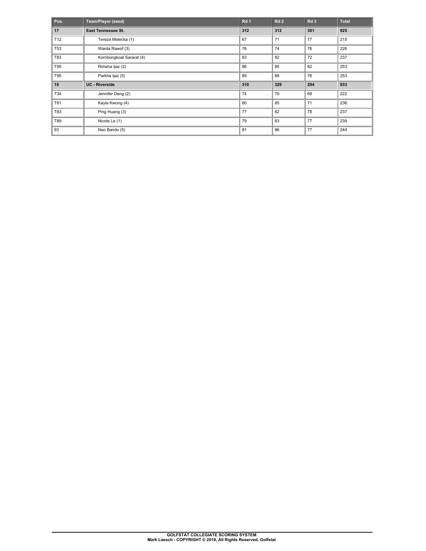| Pos.       | Team/Player (seed)       | Rd <sub>1</sub> | Rd 2 | Rd <sub>3</sub> | <b>Total</b> |
|------------|--------------------------|-----------------|------|-----------------|--------------|
| 17         | East Tennessee St.       | 312             | 312  | 301             | 925          |
| T12        | Tereza Melecka (1)       | 67              | 71   | 77              | 215          |
| <b>T53</b> | Warda Rawof (3)          | 76              | 74   | 76              | 226          |
| T83        | Kornbongkoat Sararat (4) | 83              | 82   | 72              | 237          |
| T95        | Rimsha Ijaz (2)          | 86              | 85   | 82              | 253          |
| T95        | Parkha Ijaz (5)          | 89              | 88   | 76              | 253          |
| 18         | <b>UC</b> - Riverside    | 310             | 329  | 294             | 933          |
| T34        | Jennifer Deng (2)        | 74              | 79   | 69              | 222          |
| T81        | Kayla Kwong (4)          | 80              | 85   | 71              | 236          |
| T83        | Ping Huang (3)           | 77              | 82   | 78              | 237          |
| T89        | Nicole Le (1)            | 79              | 83   | 77              | 239          |
| 93         | Nao Bando (5)            | 81              | 86   | 77              | 244          |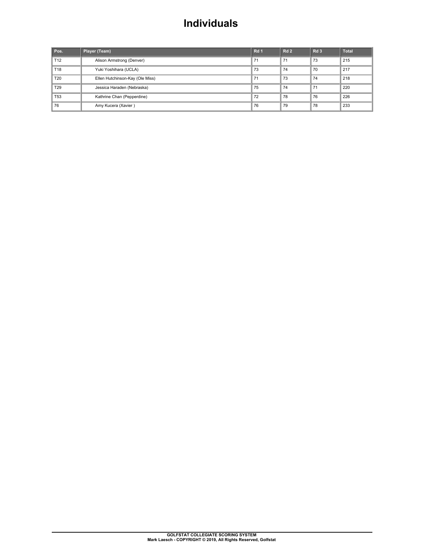## **Individuals**

| Pos.            | Player (Team)                   | Rd <sub>1</sub> | Rd <sub>2</sub> | Rd <sub>3</sub> | <b>Total</b> |
|-----------------|---------------------------------|-----------------|-----------------|-----------------|--------------|
| T <sub>12</sub> | Alison Armstrong (Denver)       | 71              | 71              | 73              | 215          |
| T18             | Yuki Yoshihara (UCLA)           | 73              | 74              | 70              | 217          |
| T <sub>20</sub> | Ellen Hutchinson-Kay (Ole Miss) | 71              | 73              | 74              | 218          |
| T <sub>29</sub> | Jessica Haraden (Nebraska)      | 75              | 74              | 71              | 220          |
| T <sub>53</sub> | Kathrine Chan (Pepperdine)      | 72              | 78              | 76              | 226          |
| 76              | Amy Kucera (Xavier)             | 76              | 79              | 78              | 233          |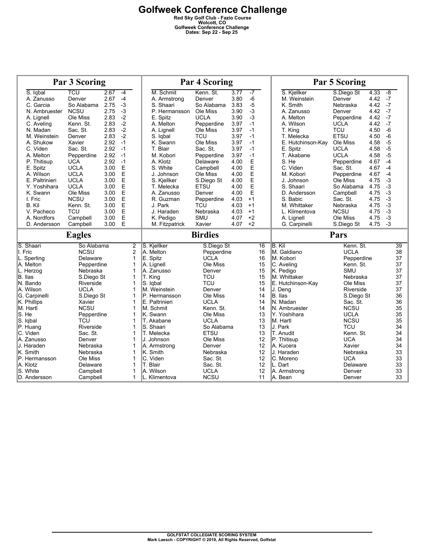|                | <b>Par 3 Scoring</b> |      |                |                   | <b>Par 4 Scoring</b>   |      |              |                   | <b>Par 5 Scoring</b>    |      |                |
|----------------|----------------------|------|----------------|-------------------|------------------------|------|--------------|-------------------|-------------------------|------|----------------|
| S. Igbal       | TCU                  | 2.67 | $-4$           | M. Schmit         | Kenn. St.              | 3.77 | $-7$         | S. Kiellker       | S.Diego St              | 4.33 | $-\frac{8}{5}$ |
| A. Zanusso     | Denver               | 2.67 | $-4$           | A. Armstrong      | Denver                 | 3.80 | $-6$         | M. Weinstein      | Denver                  | 4.42 | $-7$           |
| C. Garcia      | So Alabama           | 2.75 | $-3$           | S. Shaari         | So Alabama             | 3.83 | $-5$         | K. Smith          | Nebraska                | 4.42 | $-7$           |
| N. Ambruester  | <b>NCSU</b>          | 2.75 | $-3$           | P. Hermansson     | Ole Miss               | 3.90 | $-3$         | A. Zanusso        | Denver                  | 4.42 | $-7$           |
| A. Lignell     | Ole Miss             | 2.83 | $-2$           | E. Spitz          | <b>UCLA</b>            | 3.90 | $-3$         | A. Melton         | Pepperdine              | 4.42 | $-7$           |
| C. Aveling     | Kenn. St.            | 2.83 | $-2$           | A. Melton         | Pepperdine             | 3.97 | $-1$         | A. Wilson         | <b>UCLA</b>             | 4.42 | $-7$           |
| N. Madan       | Sac. St.             | 2.83 | $-2$           | A. Lignell        | Ole Miss               | 3.97 | $-1$         | T. King           | <b>TCU</b>              | 4.50 | $-6$           |
| M. Weinstein   | Denver               | 2.83 | $-2$           | S. Igbal          | <b>TCU</b>             | 3.97 | $-1$         | T. Melecka        | ETSU                    | 4.50 | $-6$           |
| A. Shukow      | Xavier               | 2.92 | $-1$           | K. Swann          | Ole Miss               | 3.97 | $-1$         | E. Hutchinson-Kav | Ole Miss                | 4.58 | $-5$           |
| C. Viden       | Sac. St.             | 2.92 | $-1$           | T. Blair          | Sac. St.               | 3.97 | $-1$         | E. Spitz          | <b>UCLA</b>             | 4.58 | $-5$           |
| A. Melton      | Pepperdine           | 2.92 | $-1$           | M. Kobori         | Pepperdine             | 3.97 | $-1$         | T. Akabane        | <b>UCLA</b>             | 4.58 | $-5$           |
| P. Thitisup    | <b>UCA</b>           | 2.92 | $-1$           | A. Klotz          | Delaware               | 4.00 | E            | S. He             | Pepperdine              | 4.67 | $-4$           |
| E. Spitz       | <b>UCLA</b>          | 3.00 | E              | S. White          | Campbell               | 4.00 | E            | C. Viden          | Sac. St.                | 4.67 | $-4$           |
| A. Wilson      | <b>UCLA</b>          | 3.00 | E              | J. Johnson        | Ole Miss               | 4.00 | E            | M. Kobori         | Pepperdine              | 4.67 | $-4$           |
| E. Paltrinieri | <b>UCLA</b>          | 3.00 | E              | S. Kjellker       | S.Diego St             | 4.00 | E            | J. Johnson        | Ole Miss                | 4.75 | $-3$           |
| Y. Yoshihara   | <b>UCLA</b>          | 3.00 | E              | T. Melecka        | <b>ETSU</b>            | 4.00 | E            | S. Shaari         | So Alabama              | 4.75 | $-3$           |
| K. Swann       | Ole Miss             | 3.00 | E              | A. Zanusso        | Denver                 | 4.00 | E            | D. Andersson      | Campbell                | 4.75 | $-3$           |
| I. Fric        | <b>NCSU</b>          | 3.00 | E              | R. Guzman         | Pepperdine             | 4.03 | $+1$         | S. Babic          | Sac. St.                | 4.75 | $-3$           |
| B. Kil         | Kenn. St.            | 3.00 | E              |                   | <b>TCU</b>             | 4.03 | $+1$         | M. Whittaker      |                         | 4.75 | $-3$           |
|                | <b>TCU</b>           | 3.00 | E              | J. Park           |                        | 4.03 |              |                   | Nebraska<br><b>NCSU</b> | 4.75 | $-3$           |
| V. Pacheco     |                      | 3.00 |                | J. Haraden        | Nebraska<br><b>SMU</b> |      | $+1$<br>$+2$ | L. Klimentova     |                         |      | $-3$           |
| A. Nordfors    | Campbell             | 3.00 | E<br>E         | K. Pedigo         |                        | 4.07 |              | A. Lignell        | Ole Miss                | 4.75 | $-3$           |
| D. Andersson   | Campbell             |      |                | M. Fitzpatrick    | Xavier                 | 4.07 | $+2$         | G. Carpinelli     | S.Diego St              | 4.75 |                |
|                |                      |      |                |                   |                        |      |              |                   |                         |      |                |
|                | <b>Eagles</b>        |      |                |                   | <b>Birdies</b>         |      |              |                   | Pars                    |      |                |
| S. Shaari      | So Alabama           |      | $\overline{2}$ | S. Kjellker       | S.Diego St             |      | 16           | B. Kil            | Kenn. St.               |      | 39             |
| I. Fric        | <b>NCSU</b>          |      | $\overline{2}$ | A. Melton         | Pepperdine             |      | 16           | M. Galdiano       | <b>UCLA</b>             |      | 38             |
| L. Sperling    | Delaware             |      | $\mathbf{1}$   | E. Spitz          | <b>UCLA</b>            |      | 16           | M. Kobori         | Pepperdine              |      | 37             |
| A. Melton      | Pepperdine           |      | 1              | A. Lignell        | Ole Miss               |      | 15           | C. Aveling        | Kenn. St.               |      | 37             |
| L. Herzog      | Nebraska             |      | 1              | A. Zanusso        | Denver                 |      | 15           | K. Pedigo         | <b>SMU</b>              |      | 37             |
| B. Ilas        | S.Diego St           |      | 1              | T. King           | TCU                    |      | 15           | IM. Whittaker     | Nebraska                |      | 37             |
| N. Bando       | Riverside            |      | 1              | S. labal          | <b>TCU</b>             |      | 15           | E. Hutchinson-Kay | Ole Miss                |      | 37             |
| A. Wilson      | <b>UCLA</b>          |      | 1              | M. Weinstein      | Denver                 |      | 14           | J. Dena           | Riverside               |      | 37             |
| G. Carpinelli  | S.Diego St           |      | 1              | IP. Hermansson    | Ole Miss               |      | 14           | B. Ilas           | S.Diego St              |      | 36             |
| K. Phillips    | Xavier               |      | $\mathbf{1}$   | E. Paltrinieri    | <b>UCLA</b>            |      | 14           | N. Madan          | Sac. St.                |      | 36             |
| M. Hartl       | <b>NCSU</b>          |      | $\mathbf{1}$   | IM. Schmit        | Kenn. St.              |      | 14           | N. Ambruester     | <b>NCSU</b>             |      | 35             |
| S. He          | Pepperdine           |      | 1              | K. Swann          | Ole Miss               |      | 13           | Y. Yoshihara      | <b>UCLA</b>             |      | 35             |
| S. Iqbal       | TCU                  |      | 1              | <b>T. Akabane</b> | <b>UCLA</b>            |      | 13           | lM. Hartl         | <b>NCSU</b>             |      | 35             |
| P. Huang       | Riverside            |      | 1              | S. Shaari         | So Alabama             |      | 13           | IJ. Park          | <b>TCU</b>              |      | 34             |
| C. Viden       | Sac. St.             |      | 1              | <b>T. Melecka</b> | <b>ETSU</b>            |      | 13           | <b>T. Anudit</b>  | Kenn. St.               |      | 34             |
| A. Zanusso     | Denver               |      | 1              | IJ. Johnson       | Ole Miss               |      | 12           | P. Thitisup       | <b>UCA</b>              |      | 34             |
| J. Haraden     | Nebraska             |      | 1              | A. Armstrong      | Denver                 |      | 12           | IA. Kucera        | Xavier                  |      | 34             |
| K. Smith       | Nebraska             |      | 1              | K. Smith          | Nebraska               |      | 12           | J. Haraden        | Nebraska                |      | 33             |
| P. Hermansson  | Ole Miss             |      | 1              | IC. Viden         | Sac. St.               |      | 12           | IC. Moreno        | <b>UCA</b>              |      | 33             |
| A. Klotz       | Delaware             |      | 1              | <b>T. Blair</b>   | Sac. St.               |      | 12           | IL. Dart          | Delaware                |      | 33             |
| S. White       | Campbell             |      | 1              | A. Wilson         | <b>UCLA</b>            |      | 12           | A. Armstrong      | Denver                  |      | 33             |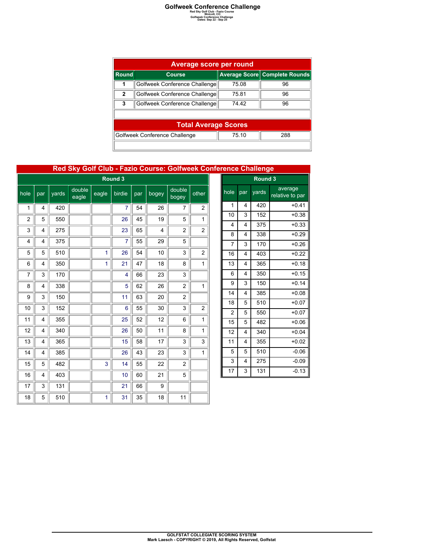|              | <b>Average score per round</b> |       |                               |  |  |  |  |  |  |  |
|--------------|--------------------------------|-------|-------------------------------|--|--|--|--|--|--|--|
| Round        | <b>Course</b>                  |       | Average Score Complete Rounds |  |  |  |  |  |  |  |
| 1            | Golfweek Conference Challenge  | 75.08 | 96                            |  |  |  |  |  |  |  |
| $\mathbf{2}$ | Golfweek Conference Challenge  | 75.81 | 96                            |  |  |  |  |  |  |  |
| 3            | Golfweek Conference Challenge  | 74 42 | 96                            |  |  |  |  |  |  |  |
|              |                                |       |                               |  |  |  |  |  |  |  |
|              | <b>Total Average Scores</b>    |       |                               |  |  |  |  |  |  |  |
|              | Golfweek Conference Challenge  | 288   |                               |  |  |  |  |  |  |  |
|              |                                |       |                               |  |  |  |  |  |  |  |

### **Red Sky Golf Club - Fazio Course: Golfweek Conference Challenge**

|                | Round 3 |       |                 |       |        |     |       |                 |                |  |
|----------------|---------|-------|-----------------|-------|--------|-----|-------|-----------------|----------------|--|
| hole           | par     | yards | double<br>eagle | eagle | birdie | par | bogey | double<br>bogey | other          |  |
| 1              | 4       | 420   |                 |       | 7      | 54  | 26    | 7               | $\overline{c}$ |  |
| $\overline{2}$ | 5       | 550   |                 |       | 26     | 45  | 19    | 5               | 1              |  |
| 3              | 4       | 275   |                 |       | 23     | 65  | 4     | $\overline{2}$  | 2              |  |
| 4              | 4       | 375   |                 |       | 7      | 55  | 29    | 5               |                |  |
| 5              | 5       | 510   |                 | 1     | 26     | 54  | 10    | 3               | $\overline{c}$ |  |
| 6              | 4       | 350   |                 | 1     | 21     | 47  | 18    | 8               | 1              |  |
| 7              | 3       | 170   |                 |       | 4      | 66  | 23    | 3               |                |  |
| 8              | 4       | 338   |                 |       | 5      | 62  | 26    | 2               | 1              |  |
| 9              | 3       | 150   |                 |       | 11     | 63  | 20    | $\overline{c}$  |                |  |
| 10             | 3       | 152   |                 |       | 6      | 55  | 30    | 3               | $\overline{c}$ |  |
| 11             | 4       | 355   |                 |       | 25     | 52  | 12    | 6               | 1              |  |
| 12             | 4       | 340   |                 |       | 26     | 50  | 11    | 8               | 1              |  |
| 13             | 4       | 365   |                 |       | 15     | 58  | 17    | 3               | 3              |  |
| 14             | 4       | 385   |                 |       | 26     | 43  | 23    | 3               | 1              |  |
| 15             | 5       | 482   |                 | 3     | 14     | 55  | 22    | $\overline{2}$  |                |  |
| 16             | 4       | 403   |                 |       | 10     | 60  | 21    | 5               |                |  |
| 17             | 3       | 131   |                 |       | 21     | 66  | 9     |                 |                |  |
| 18             | 5       | 510   |                 | 1     | 31     | 35  | 18    | 11              |                |  |

|                | Round 3 |       |                                    |  |  |  |  |  |  |
|----------------|---------|-------|------------------------------------|--|--|--|--|--|--|
| hole           | par     | yards | <u>av</u> erage<br>relative to par |  |  |  |  |  |  |
| 1              | 4       | 420   | $+0.41$                            |  |  |  |  |  |  |
| 10             | 3       | 152   | $+0.38$                            |  |  |  |  |  |  |
| 4              | 4       | 375   | $+0.33$                            |  |  |  |  |  |  |
| 8              | 4       | 338   | $+0.29$                            |  |  |  |  |  |  |
| 7              | 3       | 170   | $+0.26$                            |  |  |  |  |  |  |
| 16             | 4       | 403   | $+0.22$                            |  |  |  |  |  |  |
| 13             | 4       | 365   | $+0.18$                            |  |  |  |  |  |  |
| 6              | 4       | 350   | $+0.15$                            |  |  |  |  |  |  |
| 9              | 3       | 150   | $+0.14$                            |  |  |  |  |  |  |
| 14             | 4       | 385   | $+0.08$                            |  |  |  |  |  |  |
| 18             | 5       | 510   | $+0.07$                            |  |  |  |  |  |  |
| $\overline{c}$ | 5       | 550   | $+0.07$                            |  |  |  |  |  |  |
| 15             | 5       | 482   | $+0.06$                            |  |  |  |  |  |  |
| 12             | 4       | 340   | $+0.04$                            |  |  |  |  |  |  |
| 11             | 4       | 355   | $+0.02$                            |  |  |  |  |  |  |
| 5              | 5       | 510   | $-0.06$                            |  |  |  |  |  |  |
| 3              | 4       | 275   | $-0.09$                            |  |  |  |  |  |  |
| 17             | 3       | 131   | $-0.13$                            |  |  |  |  |  |  |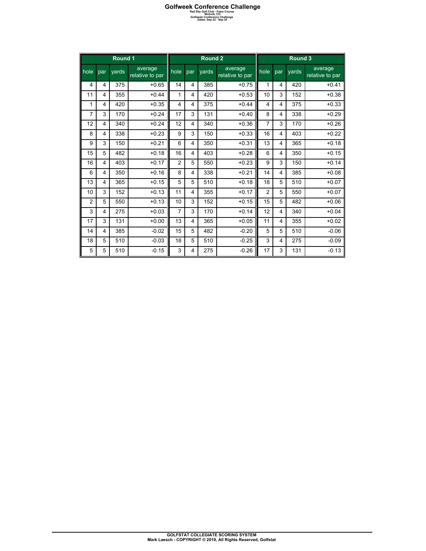|                | Round 1        |       | Round 2                    |                |                         |       | Round 3                    |                         |     |       |                            |
|----------------|----------------|-------|----------------------------|----------------|-------------------------|-------|----------------------------|-------------------------|-----|-------|----------------------------|
| $ $ hole       | par            | vards | average<br>relative to par | hole           | par                     | vards | average<br>relative to par | hole                    | par | vards | average<br>relative to par |
| 4              | 4              | 375   | $+0.65$                    | 14             | 4                       | 385   | $+0.75$                    | 1                       | 4   | 420   | $+0.41$                    |
| 11             | 4              | 355   | $+0.44$                    | 1              | 4                       | 420   | $+0.53$                    | 10                      | 3   | 152   | $+0.38$                    |
| 1              | 4              | 420   | $+0.35$                    | 4              | 4                       | 375   | $+0.44$                    | $\overline{\mathbf{4}}$ | 4   | 375   | $+0.33$                    |
| 7              | 3              | 170   | $+0.24$                    | 17             | 3                       | 131   | $+0.40$                    | 8                       | 4   | 338   | $+0.29$                    |
| 12             | $\overline{4}$ | 340   | $+0.24$                    | 12             | $\overline{\mathbf{4}}$ | 340   | $+0.36$                    | $\overline{7}$          | 3   | 170   | $+0.26$                    |
| 8              | $\overline{4}$ | 338   | $+0.23$                    | 9              | 3                       | 150   | $+0.33$                    | 16                      | 4   | 403   | $+0.22$                    |
| 9              | 3              | 150   | $+0.21$                    | 6              | 4                       | 350   | $+0.31$                    | 13                      | 4   | 365   | $+0.18$                    |
| 15             | 5              | 482   | $+0.18$                    | 16             | 4                       | 403   | $+0.28$                    | 6                       | 4   | 350   | $+0.15$                    |
| 16             | 4              | 403   | $+0.17$                    | $\overline{2}$ | 5                       | 550   | $+0.23$                    | 9                       | 3   | 150   | $+0.14$                    |
| 6              | 4              | 350   | $+0.16$                    | 8              | 4                       | 338   | $+0.21$                    | 14                      | 4   | 385   | $+0.08$                    |
| 13             | 4              | 365   | $+0.15$                    | 5              | 5                       | 510   | $+0.18$                    | 18                      | 5   | 510   | $+0.07$                    |
| 10             | 3              | 152   | $+0.13$                    | 11             | 4                       | 355   | $+0.17$                    | $\overline{c}$          | 5   | 550   | $+0.07$                    |
| $\overline{2}$ | 5              | 550   | $+0.13$                    | 10             | 3                       | 152   | $+0.15$                    | 15                      | 5   | 482   | $+0.06$                    |
| 3              | 4              | 275   | $+0.03$                    | $\overline{7}$ | 3                       | 170   | $+0.14$                    | 12                      | 4   | 340   | $+0.04$                    |
| 17             | 3              | 131   | $+0.00$                    | 13             | 4                       | 365   | $+0.05$                    | 11                      | 4   | 355   | $+0.02$                    |
| 14             | 4              | 385   | $-0.02$                    | 15             | 5                       | 482   | $-0.20$                    | 5                       | 5   | 510   | $-0.06$                    |
| 18             | 5              | 510   | $-0.03$                    | 18             | 5                       | 510   | $-0.25$                    | 3                       | 4   | 275   | $-0.09$                    |
| 5              | 5              | 510   | $-0.15$                    | 3              | $\overline{4}$          | 275   | $-0.26$                    | 17                      | 3   | 131   | $-0.13$                    |